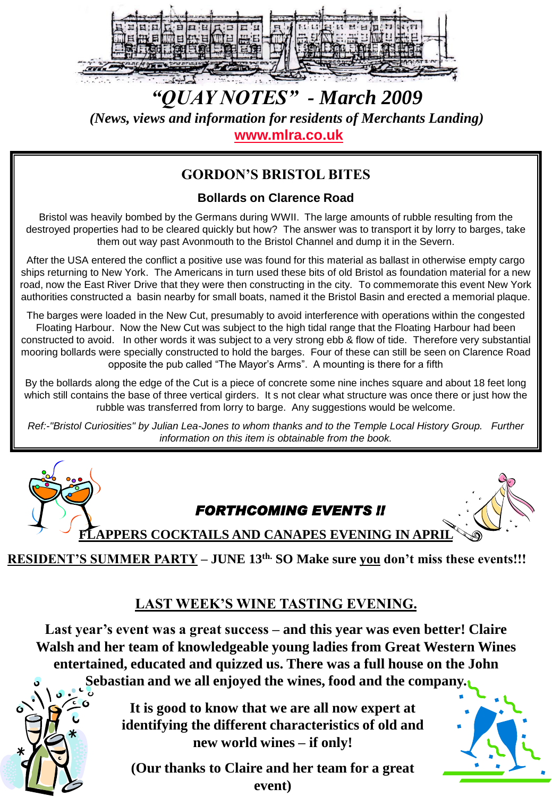

*"QUAY NOTES" - March 2009 (News, views and information for residents of Merchants Landing)* **[www.mlra.co.uk](http://www.mlra.co.uk/)**

# **GORDON'S BRISTOL BITES**

## **Bollards on Clarence Road**

Bristol was heavily bombed by the Germans during WWII. The large amounts of rubble resulting from the destroyed properties had to be cleared quickly but how? The answer was to transport it by lorry to barges, take them out way past Avonmouth to the Bristol Channel and dump it in the Severn.

After the USA entered the conflict a positive use was found for this material as ballast in otherwise empty cargo ships returning to New York. The Americans in turn used these bits of old Bristol as foundation material for a new road, now the East River Drive that they were then constructing in the city. To commemorate this event New York authorities constructed a basin nearby for small boats, named it the Bristol Basin and erected a memorial plaque.

The barges were loaded in the New Cut, presumably to avoid interference with operations within the congested Floating Harbour. Now the New Cut was subject to the high tidal range that the Floating Harbour had been constructed to avoid. In other words it was subject to a very strong ebb & flow of tide. Therefore very substantial mooring bollards were specially constructed to hold the barges. Four of these can still be seen on Clarence Road opposite the pub called "The Mayor's Arms". A mounting is there for a fifth

By the bollards along the edge of the Cut is a piece of concrete some nine inches square and about 18 feet long which still contains the base of three vertical girders. It s not clear what structure was once there or just how the rubble was transferred from lorry to barge. Any suggestions would be welcome.

*Ref:-"Bristol Curiosities" by Julian Lea-Jones to whom thanks and to the Temple Local History Group. Further information on this item is obtainable from the book.*



**RESIDENT'S SUMMER PARTY – JUNE 13th. SO Make sure you don't miss these events!!!**

# **LAST WEEK'S WINE TASTING EVENING.**

**Last year's event was a great success – and this year was even better! Claire Walsh and her team of knowledgeable young ladies from Great Western Wines entertained, educated and quizzed us. There was a full house on the John Sebastian and we all enjoyed the wines, food and the company.**

> **It is good to know that we are all now expert at identifying the different characteristics of old and new world wines – if only!**

**(Our thanks to Claire and her team for a great event)**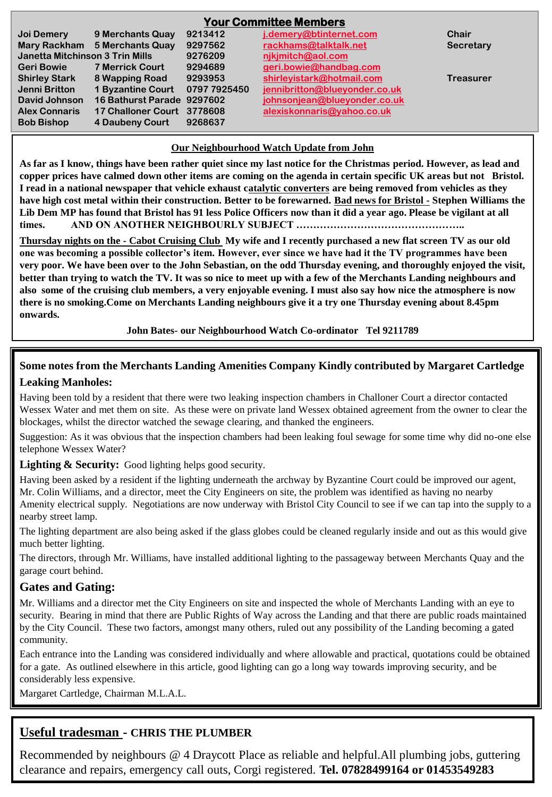| <b>Your Committee Members</b>   |                               |              |                               |                  |
|---------------------------------|-------------------------------|--------------|-------------------------------|------------------|
| Joi Demery                      | 9 Merchants Quay              | 9213412      | j.demery@btinternet.com       | Chair            |
|                                 | Mary Rackham 5 Merchants Quay | 9297562      | rackhams@talktalk.net         | Secretary        |
| Janetta Mitchinson 3 Trin Mills |                               | 9276209      | nikimitch@aol.com             |                  |
| <b>Geri Bowie</b>               | <b>7 Merrick Court</b>        | 9294689      | geri.bowie@handbag.com        |                  |
| <b>Shirley Stark</b>            | 8 Wapping Road                | 9293953      | shirleyistark@hotmail.com     | <b>Treasurer</b> |
| Jenni Britton                   | <b>1 Byzantine Court</b>      | 0797 7925450 | jennibritton@blueyonder.co.uk |                  |
| David Johnson                   | 16 Bathurst Parade 9297602    |              | johnsonjean@blueyonder.co.uk  |                  |
| <b>Alex Connaris</b>            | 17 Challoner Court 3778608    |              | alexiskonnaris@yahoo.co.uk    |                  |
| <b>Bob Bishop</b>               | 4 Daubeny Court               | 9268637      |                               |                  |

#### **Our Neighbourhood Watch Update from John**

**As far as I know, things have been rather quiet since my last notice for the Christmas period. However, as lead and copper prices have calmed down other items are coming on the agenda in certain specific UK areas but not Bristol. I read in a national newspaper that vehicle exhaust catalytic converters are being removed from vehicles as they have high cost metal within their construction. Better to be forewarned. Bad news for Bristol - Stephen Williams the Lib Dem MP has found that Bristol has 91 less Police Officers now than it did a year ago. Please be vigilant at all times. AND ON ANOTHER NEIGHBOURLY SUBJECT …………………………………………..**

**Thursday nights on the - Cabot Cruising Club My wife and I recently purchased a new flat screen TV as our old one was becoming a possible collector's item. However, ever since we have had it the TV programmes have been very poor. We have been over to the John Sebastian, on the odd Thursday evening, and thoroughly enjoyed the visit, better than trying to watch the TV. It was so nice to meet up with a few of the Merchants Landing neighbours and also some of the cruising club members, a very enjoyable evening. I must also say how nice the atmosphere is now there is no smoking.Come on Merchants Landing neighbours give it a try one Thursday evening about 8.45pm onwards.**

**John Bates- our Neighbourhood Watch Co-ordinator Tel 9211789**

# **Some notes from the Merchants Landing Amenities Company Kindly contributed by Margaret Cartledge**

#### **Leaking Manholes:**

Having been told by a resident that there were two leaking inspection chambers in Challoner Court a director contacted Wessex Water and met them on site. As these were on private land Wessex obtained agreement from the owner to clear the blockages, whilst the director watched the sewage clearing, and thanked the engineers.

Suggestion: As it was obvious that the inspection chambers had been leaking foul sewage for some time why did no-one else telephone Wessex Water?

**Lighting & Security:** Good lighting helps good security.

Having been asked by a resident if the lighting underneath the archway by Byzantine Court could be improved our agent, Mr. Colin Williams, and a director, meet the City Engineers on site, the problem was identified as having no nearby Amenity electrical supply. Negotiations are now underway with Bristol City Council to see if we can tap into the supply to a nearby street lamp.

The lighting department are also being asked if the glass globes could be cleaned regularly inside and out as this would give much better lighting.

The directors, through Mr. Williams, have installed additional lighting to the passageway between Merchants Quay and the garage court behind.

#### **Gates and Gating:**

Mr. Williams and a director met the City Engineers on site and inspected the whole of Merchants Landing with an eye to security. Bearing in mind that there are Public Rights of Way across the Landing and that there are public roads maintained by the City Council. These two factors, amongst many others, ruled out any possibility of the Landing becoming a gated community.

Each entrance into the Landing was considered individually and where allowable and practical, quotations could be obtained for a gate. As outlined elsewhere in this article, good lighting can go a long way towards improving security, and be considerably less expensive.

Margaret Cartledge, Chairman M.L.A.L.

### **Useful tradesman - CHRIS THE PLUMBER**

Recommended by neighbours @ 4 Draycott Place as reliable and helpful.All plumbing jobs, guttering clearance and repairs, emergency call outs, Corgi registered. **Tel. 07828499164 or 01453549283**